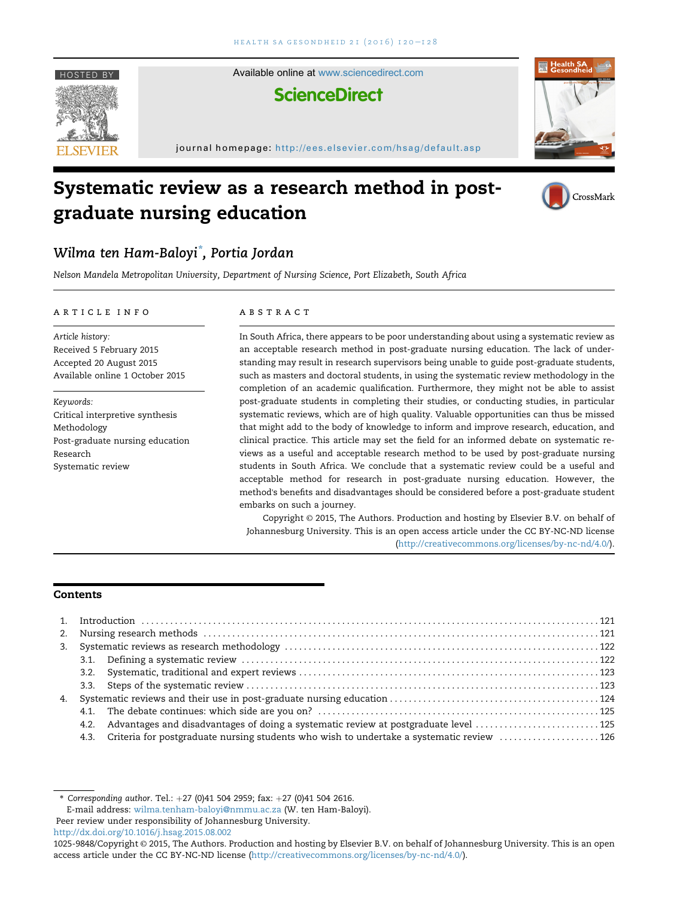

HOSTED BY Available online at [www.sciencedirect.com](www.sciencedirect.com/science/journal/10259848)

# **ScienceDirect**

journal homepage: http://ees.elsevier.com/hsag/default.asp

# Systematic review as a research method in postgraduate nursing education





# Wilma ten Ham-Baloyi\* , Portia Jordan

Nelson Mandela Metropolitan University, Department of Nursing Science, Port Elizabeth, South Africa

#### article info

Article history: Received 5 February 2015 Accepted 20 August 2015 Available online 1 October 2015

Keywords: Critical interpretive synthesis Methodology Post-graduate nursing education Research Systematic review

# **ABSTRACT**

In South Africa, there appears to be poor understanding about using a systematic review as an acceptable research method in post-graduate nursing education. The lack of understanding may result in research supervisors being unable to guide post-graduate students, such as masters and doctoral students, in using the systematic review methodology in the completion of an academic qualification. Furthermore, they might not be able to assist post-graduate students in completing their studies, or conducting studies, in particular systematic reviews, which are of high quality. Valuable opportunities can thus be missed that might add to the body of knowledge to inform and improve research, education, and clinical practice. This article may set the field for an informed debate on systematic reviews as a useful and acceptable research method to be used by post-graduate nursing students in South Africa. We conclude that a systematic review could be a useful and acceptable method for research in post-graduate nursing education. However, the method's benefits and disadvantages should be considered before a post-graduate student embarks on such a journey.

Copyright © 2015, The Authors. Production and hosting by Elsevier B.V. on behalf of Johannesburg University. This is an open access article under the CC BY-NC-ND license [\(http://creativecommons.org/licenses/by-nc-nd/4.0/\)](http://creativecommons.org/licenses/by-nc-nd/4.0/).

#### Contents

| 4. |                                                                                               |  |
|----|-----------------------------------------------------------------------------------------------|--|
|    |                                                                                               |  |
|    | 4.2. Advantages and disadvantages of doing a systematic review at postgraduate level 125      |  |
|    | 4.3. Criteria for postgraduate nursing students who wish to undertake a systematic review 126 |  |

\* Corresponding author. Tel.:  $+27$  (0)41 504 2959; fax:  $+27$  (0)41 504 2616. E-mail address: [wilma.tenham-baloyi@nmmu.ac.za](mailto:wilma.tenham-baloyi@nmmu.ac.za) (W. ten Ham-Baloyi). Peer review under responsibility of Johannesburg University. <http://dx.doi.org/10.1016/j.hsag.2015.08.002>

<sup>1025-9848/</sup>Copyright © 2015, The Authors. Production and hosting by Elsevier B.V. on behalf of Johannesburg University. This is an open access article under the CC BY-NC-ND license [\(http://creativecommons.org/licenses/by-nc-nd/4.0/](http://creativecommons.org/licenses/by-nc-nd/4.0/)).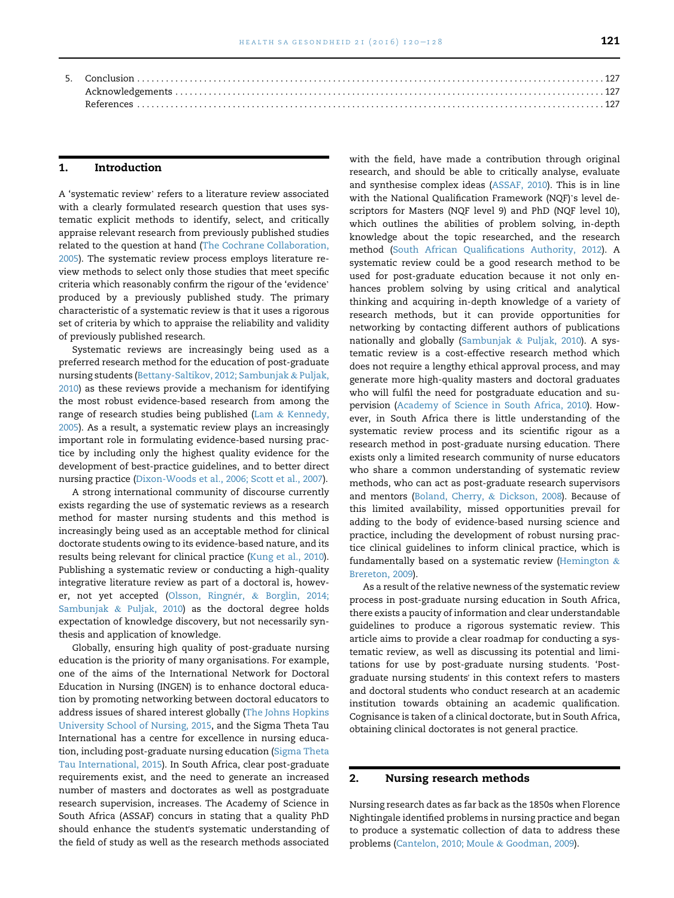# 1. Introduction

A 'systematic review' refers to a literature review associated with a clearly formulated research question that uses systematic explicit methods to identify, select, and critically appraise relevant research from previously published studies related to the question at hand ([The Cochrane Collaboration,](#page-8-0) [2005](#page-8-0)). The systematic review process employs literature review methods to select only those studies that meet specific criteria which reasonably confirm the rigour of the 'evidence' produced by a previously published study. The primary characteristic of a systematic review is that it uses a rigorous set of criteria by which to appraise the reliability and validity of previously published research.

Systematic reviews are increasingly being used as a preferred research method for the education of post-graduate nursing students [\(Bettany-Saltikov, 2012; Sambunjak](#page-7-0) & [Puljak,](#page-7-0) [2010](#page-7-0)) as these reviews provide a mechanism for identifying the most robust evidence-based research from among the range of research studies being published ([Lam](#page-8-0) & [Kennedy,](#page-8-0) [2005](#page-8-0)). As a result, a systematic review plays an increasingly important role in formulating evidence-based nursing practice by including only the highest quality evidence for the development of best-practice guidelines, and to better direct nursing practice [\(Dixon-Woods et al., 2006; Scott et al., 2007](#page-7-0)).

A strong international community of discourse currently exists regarding the use of systematic reviews as a research method for master nursing students and this method is increasingly being used as an acceptable method for clinical doctorate students owing to its evidence-based nature, and its results being relevant for clinical practice [\(Kung et al., 2010](#page-8-0)). Publishing a systematic review or conducting a high-quality integrative literature review as part of a doctoral is, howev-er, not yet accepted ([Olsson, Ringn](#page-8-0)é[r,](#page-8-0) & [Borglin, 2014;](#page-8-0) [Sambunjak](#page-8-0) & [Puljak, 2010\)](#page-8-0) as the doctoral degree holds expectation of knowledge discovery, but not necessarily synthesis and application of knowledge.

Globally, ensuring high quality of post-graduate nursing education is the priority of many organisations. For example, one of the aims of the International Network for Doctoral Education in Nursing (INGEN) is to enhance doctoral education by promoting networking between doctoral educators to address issues of shared interest globally [\(The Johns Hopkins](#page-8-0) [University School of Nursing, 2015,](#page-8-0) and the Sigma Theta Tau International has a centre for excellence in nursing education, including post-graduate nursing education [\(Sigma Theta](#page-8-0) [Tau International, 2015](#page-8-0)). In South Africa, clear post-graduate requirements exist, and the need to generate an increased number of masters and doctorates as well as postgraduate research supervision, increases. The Academy of Science in South Africa (ASSAF) concurs in stating that a quality PhD should enhance the student's systematic understanding of the field of study as well as the research methods associated

with the field, have made a contribution through original research, and should be able to critically analyse, evaluate and synthesise complex ideas ([ASSAF, 2010\)](#page-7-0). This is in line with the National Qualification Framework (NQF)'s level descriptors for Masters (NQF level 9) and PhD (NQF level 10), which outlines the abilities of problem solving, in-depth knowledge about the topic researched, and the research method [\(South African Qualifications Authority, 2012\)](#page-8-0). A systematic review could be a good research method to be used for post-graduate education because it not only enhances problem solving by using critical and analytical thinking and acquiring in-depth knowledge of a variety of research methods, but it can provide opportunities for networking by contacting different authors of publications nationally and globally ([Sambunjak](#page-8-0) & [Puljak, 2010\)](#page-8-0). A systematic review is a cost-effective research method which does not require a lengthy ethical approval process, and may generate more high-quality masters and doctoral graduates who will fulfil the need for postgraduate education and supervision [\(Academy of Science in South Africa, 2010\)](#page-7-0). However, in South Africa there is little understanding of the systematic review process and its scientific rigour as a research method in post-graduate nursing education. There exists only a limited research community of nurse educators who share a common understanding of systematic review methods, who can act as post-graduate research supervisors and mentors [\(Boland, Cherry,](#page-7-0) & [Dickson, 2008\)](#page-7-0). Because of this limited availability, missed opportunities prevail for adding to the body of evidence-based nursing science and practice, including the development of robust nursing practice clinical guidelines to inform clinical practice, which is fundamentally based on a systematic review ([Hemington](#page-7-0)  $&$ [Brereton, 2009\)](#page-7-0)

As a result of the relative newness of the systematic review process in post-graduate nursing education in South Africa, there exists a paucity of information and clear understandable guidelines to produce a rigorous systematic review. This article aims to provide a clear roadmap for conducting a systematic review, as well as discussing its potential and limitations for use by post-graduate nursing students. 'Postgraduate nursing students' in this context refers to masters and doctoral students who conduct research at an academic institution towards obtaining an academic qualification. Cognisance is taken of a clinical doctorate, but in South Africa, obtaining clinical doctorates is not general practice.

## 2. Nursing research methods

Nursing research dates as far back as the 1850s when Florence Nightingale identified problems in nursing practice and began to produce a systematic collection of data to address these problems [\(Cantelon, 2010; Moule](#page-7-0) & [Goodman, 2009\)](#page-7-0).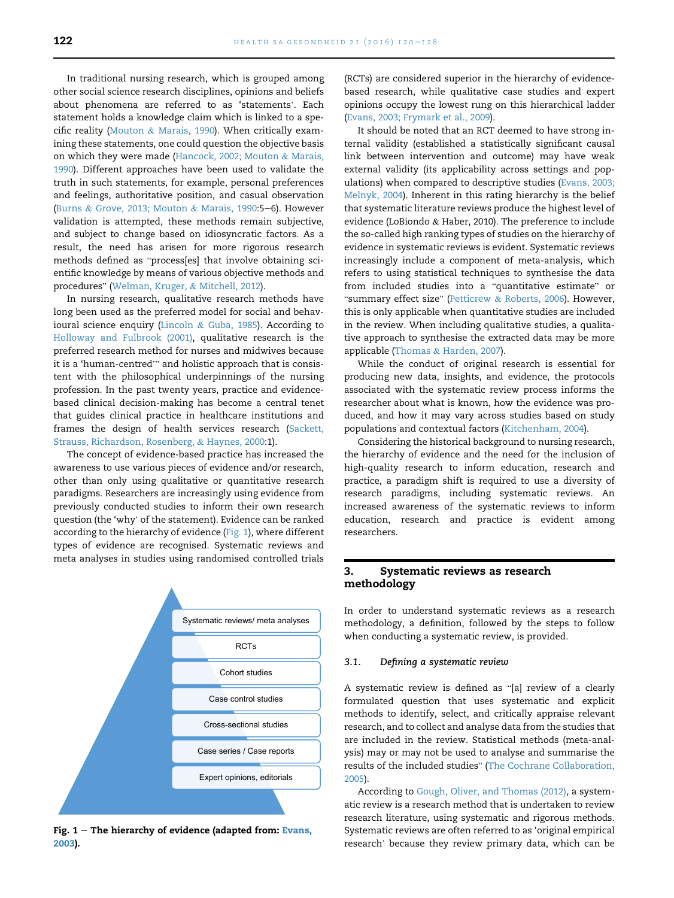In traditional nursing research, which is grouped among other social science research disciplines, opinions and beliefs about phenomena are referred to as 'statements'. Each statement holds a knowledge claim which is linked to a specific reality [\(Mouton](#page-8-0) & [Marais, 1990\)](#page-8-0). When critically examining these statements, one could question the objective basis on which they were made [\(Hancock, 2002; Mouton](#page-7-0) & [Marais,](#page-7-0) [1990\)](#page-7-0). Different approaches have been used to validate the truth in such statements, for example, personal preferences and feelings, authoritative position, and casual observation ([Burns](#page-7-0) & [Grove, 2013; Mouton](#page-7-0) & [Marais, 1990](#page-7-0):5-6). However validation is attempted, these methods remain subjective, and subject to change based on idiosyncratic factors. As a result, the need has arisen for more rigorous research methods defined as "process[es] that involve obtaining scientific knowledge by means of various objective methods and procedures" [\(Welman, Kruger,](#page-8-0) & [Mitchell, 2012](#page-8-0)).

In nursing research, qualitative research methods have long been used as the preferred model for social and behavioural science enquiry [\(Lincoln](#page-8-0) & [Guba, 1985](#page-8-0)). According to [Holloway and Fulbrook \(2001\)](#page-7-0), qualitative research is the preferred research method for nurses and midwives because it is a 'human-centred'" and holistic approach that is consistent with the philosophical underpinnings of the nursing profession. In the past twenty years, practice and evidencebased clinical decision-making has become a central tenet that guides clinical practice in healthcare institutions and frames the design of health services research [\(Sackett,](#page-8-0) [Strauss, Richardson, Rosenberg,](#page-8-0) & [Haynes, 2000:](#page-8-0)1).

The concept of evidence-based practice has increased the awareness to use various pieces of evidence and/or research, other than only using qualitative or quantitative research paradigms. Researchers are increasingly using evidence from previously conducted studies to inform their own research question (the 'why' of the statement). Evidence can be ranked according to the hierarchy of evidence (Fig. 1), where different types of evidence are recognised. Systematic reviews and meta analyses in studies using randomised controlled trials



Fig.  $1$  – The hierarchy of evidence (adapted from: [Evans,](#page-7-0) [2003](#page-7-0)).

(RCTs) are considered superior in the hierarchy of evidencebased research, while qualitative case studies and expert opinions occupy the lowest rung on this hierarchical ladder ([Evans, 2003; Frymark et al., 2009](#page-7-0)).

It should be noted that an RCT deemed to have strong internal validity (established a statistically significant causal link between intervention and outcome) may have weak external validity (its applicability across settings and populations) when compared to descriptive studies ([Evans, 2003;](#page-7-0) [Melnyk, 2004](#page-7-0)). Inherent in this rating hierarchy is the belief that systematic literature reviews produce the highest level of evidence (LoBiondo & Haber, 2010). The preference to include the so-called high ranking types of studies on the hierarchy of evidence in systematic reviews is evident. Systematic reviews increasingly include a component of meta-analysis, which refers to using statistical techniques to synthesise the data from included studies into a "quantitative estimate" or from included studies into a "quantitative estimate" or<br>"summary effect size" ([Petticrew](#page-8-0) & [Roberts, 2006\)](#page-8-0). However, this is only applicable when quantitative studies are included in the review. When including qualitative studies, a qualitative approach to synthesise the extracted data may be more applicable ([Thomas](#page-8-0) & [Harden, 2007\)](#page-8-0).

While the conduct of original research is essential for producing new data, insights, and evidence, the protocols associated with the systematic review process informs the researcher about what is known, how the evidence was produced, and how it may vary across studies based on study populations and contextual factors ([Kitchenham, 2004](#page-8-0)).

Considering the historical background to nursing research, the hierarchy of evidence and the need for the inclusion of high-quality research to inform education, research and practice, a paradigm shift is required to use a diversity of research paradigms, including systematic reviews. An increased awareness of the systematic reviews to inform education, research and practice is evident among researchers.

# 3. Systematic reviews as research methodology

In order to understand systematic reviews as a research methodology, a definition, followed by the steps to follow when conducting a systematic review, is provided.

# 3.1. Defining a systematic review

A systematic review is defined as "[a] review of a clearly formulated question that uses systematic and explicit methods to identify, select, and critically appraise relevant research, and to collect and analyse data from the studies that are included in the review. Statistical methods (meta-analysis) may or may not be used to analyse and summarise the results of the included studies" [\(The Cochrane Collaboration,](#page-8-0) [2005\)](#page-8-0).

According to [Gough, Oliver, and Thomas \(2012\),](#page-7-0) a systematic review is a research method that is undertaken to review research literature, using systematic and rigorous methods. Systematic reviews are often referred to as 'original empirical research' because they review primary data, which can be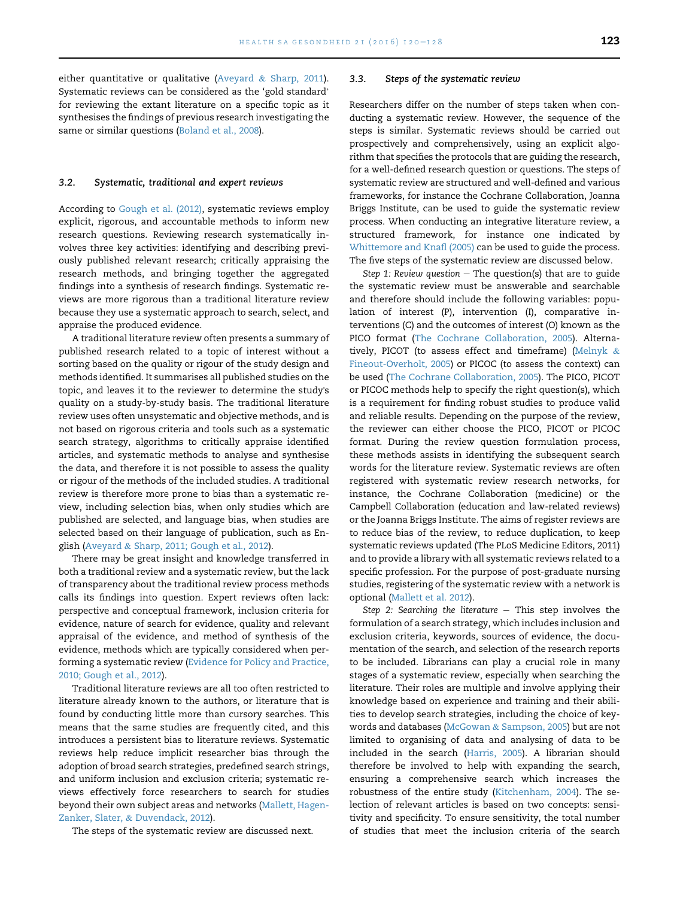either quantitative or qualitative [\(Aveyard](#page-7-0) & [Sharp, 2011](#page-7-0)). Systematic reviews can be considered as the 'gold standard' for reviewing the extant literature on a specific topic as it synthesises the findings of previous research investigating the same or similar questions [\(Boland et al., 2008\)](#page-7-0).

#### 3.2. Systematic, traditional and expert reviews

According to [Gough et al. \(2012\)](#page-7-0), systematic reviews employ explicit, rigorous, and accountable methods to inform new research questions. Reviewing research systematically involves three key activities: identifying and describing previously published relevant research; critically appraising the research methods, and bringing together the aggregated findings into a synthesis of research findings. Systematic reviews are more rigorous than a traditional literature review because they use a systematic approach to search, select, and appraise the produced evidence.

A traditional literature review often presents a summary of published research related to a topic of interest without a sorting based on the quality or rigour of the study design and methods identified. It summarises all published studies on the topic, and leaves it to the reviewer to determine the study's quality on a study-by-study basis. The traditional literature review uses often unsystematic and objective methods, and is not based on rigorous criteria and tools such as a systematic search strategy, algorithms to critically appraise identified articles, and systematic methods to analyse and synthesise the data, and therefore it is not possible to assess the quality or rigour of the methods of the included studies. A traditional review is therefore more prone to bias than a systematic review, including selection bias, when only studies which are published are selected, and language bias, when studies are selected based on their language of publication, such as English [\(Aveyard](#page-7-0) & [Sharp, 2011; Gough et al., 2012](#page-7-0)).

There may be great insight and knowledge transferred in both a traditional review and a systematic review, but the lack of transparency about the traditional review process methods calls its findings into question. Expert reviews often lack: perspective and conceptual framework, inclusion criteria for evidence, nature of search for evidence, quality and relevant appraisal of the evidence, and method of synthesis of the evidence, methods which are typically considered when performing a systematic review [\(Evidence for Policy and Practice,](#page-7-0) [2010; Gough et al., 2012\)](#page-7-0).

Traditional literature reviews are all too often restricted to literature already known to the authors, or literature that is found by conducting little more than cursory searches. This means that the same studies are frequently cited, and this introduces a persistent bias to literature reviews. Systematic reviews help reduce implicit researcher bias through the adoption of broad search strategies, predefined search strings, and uniform inclusion and exclusion criteria; systematic reviews effectively force researchers to search for studies beyond their own subject areas and networks [\(Mallett, Hagen-](#page-8-0)[Zanker, Slater,](#page-8-0) & [Duvendack, 2012\)](#page-8-0).

The steps of the systematic review are discussed next.

#### 3.3. Steps of the systematic review

Researchers differ on the number of steps taken when conducting a systematic review. However, the sequence of the steps is similar. Systematic reviews should be carried out prospectively and comprehensively, using an explicit algorithm that specifies the protocols that are guiding the research, for a well-defined research question or questions. The steps of systematic review are structured and well-defined and various frameworks, for instance the Cochrane Collaboration, Joanna Briggs Institute, can be used to guide the systematic review process. When conducting an integrative literature review, a structured framework, for instance one indicated by [Whittemore and Knafl \(2005\)](#page-8-0) can be used to guide the process. The five steps of the systematic review are discussed below.

Step 1: Review question  $-$  The question(s) that are to guide the systematic review must be answerable and searchable and therefore should include the following variables: population of interest (P), intervention (I), comparative interventions (C) and the outcomes of interest (O) known as the PICO format ([The Cochrane Collaboration, 2005](#page-8-0)). Alternatively, PICOT (to assess effect and timeframe) [\(Melnyk](#page-8-0) & [Fineout-Overholt, 2005](#page-8-0)) or PICOC (to assess the context) can be used ([The Cochrane Collaboration, 2005\)](#page-8-0). The PICO, PICOT or PICOC methods help to specify the right question(s), which is a requirement for finding robust studies to produce valid and reliable results. Depending on the purpose of the review, the reviewer can either choose the PICO, PICOT or PICOC format. During the review question formulation process, these methods assists in identifying the subsequent search words for the literature review. Systematic reviews are often registered with systematic review research networks, for instance, the Cochrane Collaboration (medicine) or the Campbell Collaboration (education and law-related reviews) or the Joanna Briggs Institute. The aims of register reviews are to reduce bias of the review, to reduce duplication, to keep systematic reviews updated (The PLoS Medicine Editors, 2011) and to provide a library with all systematic reviews related to a specific profession. For the purpose of post-graduate nursing studies, registering of the systematic review with a network is optional [\(Mallett et al. 2012\)](#page-8-0).

Step 2: Searching the literature  $-$  This step involves the formulation of a search strategy, which includes inclusion and exclusion criteria, keywords, sources of evidence, the documentation of the search, and selection of the research reports to be included. Librarians can play a crucial role in many stages of a systematic review, especially when searching the literature. Their roles are multiple and involve applying their knowledge based on experience and training and their abilities to develop search strategies, including the choice of keywords and databases ([McGowan](#page-8-0) & [Sampson, 2005](#page-8-0)) but are not limited to organising of data and analysing of data to be included in the search ([Harris, 2005\)](#page-7-0). A librarian should therefore be involved to help with expanding the search, ensuring a comprehensive search which increases the robustness of the entire study ([Kitchenham, 2004](#page-8-0)). The selection of relevant articles is based on two concepts: sensitivity and specificity. To ensure sensitivity, the total number of studies that meet the inclusion criteria of the search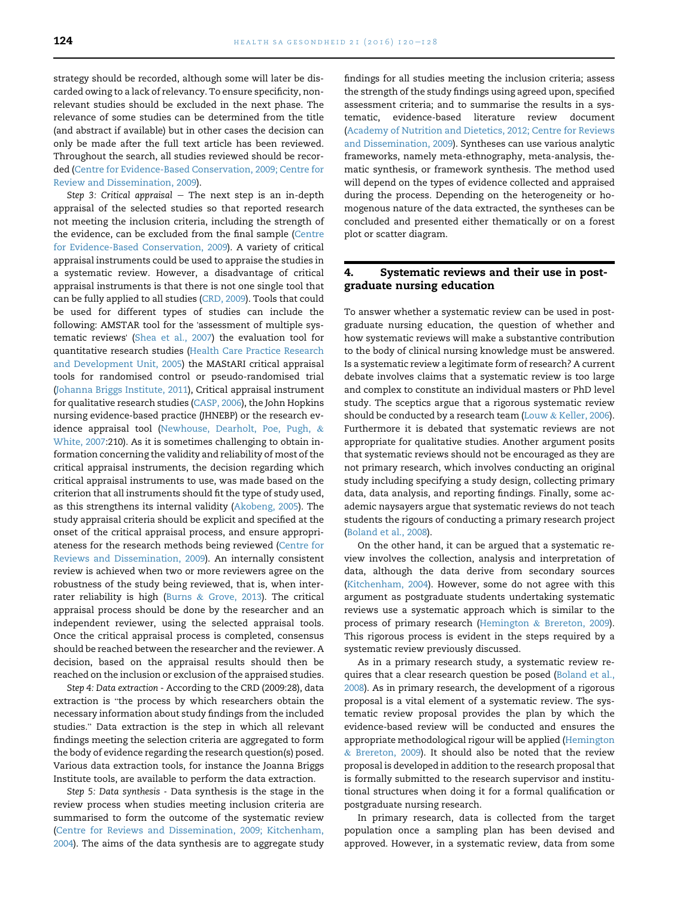strategy should be recorded, although some will later be discarded owing to a lack of relevancy. To ensure specificity, nonrelevant studies should be excluded in the next phase. The relevance of some studies can be determined from the title (and abstract if available) but in other cases the decision can only be made after the full text article has been reviewed. Throughout the search, all studies reviewed should be recorded ([Centre for Evidence-Based Conservation, 2009; Centre for](#page-7-0) [Review and Dissemination, 2009\)](#page-7-0).

Step 3: Critical appraisal  $-$  The next step is an in-depth appraisal of the selected studies so that reported research not meeting the inclusion criteria, including the strength of the evidence, can be excluded from the final sample [\(Centre](#page-7-0) [for Evidence-Based Conservation, 2009\)](#page-7-0). A variety of critical appraisal instruments could be used to appraise the studies in a systematic review. However, a disadvantage of critical appraisal instruments is that there is not one single tool that can be fully applied to all studies ([CRD, 2009](#page-7-0)). Tools that could be used for different types of studies can include the following: AMSTAR tool for the 'assessment of multiple systematic reviews' [\(Shea et al., 2007](#page-8-0)) the evaluation tool for quantitative research studies ([Health Care Practice Research](#page-7-0) [and Development Unit, 2005\)](#page-7-0) the MAStARI critical appraisal tools for randomised control or pseudo-randomised trial ([Johanna Briggs Institute, 2011](#page-7-0)), Critical appraisal instrument for qualitative research studies [\(CASP, 2006](#page-7-0)), the John Hopkins nursing evidence-based practice (JHNEBP) or the research evidence appraisal tool [\(Newhouse, Dearholt, Poe, Pugh,](#page-8-0) & [White, 2007](#page-8-0):210). As it is sometimes challenging to obtain information concerning the validity and reliability of most of the critical appraisal instruments, the decision regarding which critical appraisal instruments to use, was made based on the criterion that all instruments should fit the type of study used, as this strengthens its internal validity ([Akobeng, 2005\)](#page-7-0). The study appraisal criteria should be explicit and specified at the onset of the critical appraisal process, and ensure appropriateness for the research methods being reviewed ([Centre for](#page-7-0) [Reviews and Dissemination, 2009](#page-7-0)). An internally consistent review is achieved when two or more reviewers agree on the robustness of the study being reviewed, that is, when interrater reliability is high ([Burns](#page-7-0) & [Grove, 2013](#page-7-0)). The critical appraisal process should be done by the researcher and an independent reviewer, using the selected appraisal tools. Once the critical appraisal process is completed, consensus should be reached between the researcher and the reviewer. A decision, based on the appraisal results should then be reached on the inclusion or exclusion of the appraised studies.

Step 4: Data extraction - According to the CRD (2009:28), data extraction is "the process by which researchers obtain the necessary information about study findings from the included studies." Data extraction is the step in which all relevant findings meeting the selection criteria are aggregated to form the body of evidence regarding the research question(s) posed. Various data extraction tools, for instance the Joanna Briggs Institute tools, are available to perform the data extraction.

Step 5: Data synthesis - Data synthesis is the stage in the review process when studies meeting inclusion criteria are summarised to form the outcome of the systematic review ([Centre for Reviews and Dissemination, 2009; Kitchenham,](#page-7-0) [2004\)](#page-7-0). The aims of the data synthesis are to aggregate study findings for all studies meeting the inclusion criteria; assess the strength of the study findings using agreed upon, specified assessment criteria; and to summarise the results in a systematic, evidence-based literature review document ([Academy of Nutrition and Dietetics, 2012; Centre for Reviews](#page-7-0) [and Dissemination, 2009](#page-7-0)). Syntheses can use various analytic frameworks, namely meta-ethnography, meta-analysis, thematic synthesis, or framework synthesis. The method used will depend on the types of evidence collected and appraised during the process. Depending on the heterogeneity or homogenous nature of the data extracted, the syntheses can be concluded and presented either thematically or on a forest plot or scatter diagram.

# 4. Systematic reviews and their use in postgraduate nursing education

To answer whether a systematic review can be used in postgraduate nursing education, the question of whether and how systematic reviews will make a substantive contribution to the body of clinical nursing knowledge must be answered. Is a systematic review a legitimate form of research? A current debate involves claims that a systematic review is too large and complex to constitute an individual masters or PhD level study. The sceptics argue that a rigorous systematic review should be conducted by a research team [\(Louw](#page-8-0) & [Keller, 2006\)](#page-8-0). Furthermore it is debated that systematic reviews are not appropriate for qualitative studies. Another argument posits that systematic reviews should not be encouraged as they are not primary research, which involves conducting an original study including specifying a study design, collecting primary data, data analysis, and reporting findings. Finally, some academic naysayers argue that systematic reviews do not teach students the rigours of conducting a primary research project ([Boland et al., 2008](#page-7-0)).

On the other hand, it can be argued that a systematic review involves the collection, analysis and interpretation of data, although the data derive from secondary sources ([Kitchenham, 2004](#page-8-0)). However, some do not agree with this argument as postgraduate students undertaking systematic reviews use a systematic approach which is similar to the process of primary research ([Hemington](#page-7-0) & [Brereton, 2009\)](#page-7-0). This rigorous process is evident in the steps required by a systematic review previously discussed.

As in a primary research study, a systematic review requires that a clear research question be posed [\(Boland et al.,](#page-7-0) [2008\)](#page-7-0). As in primary research, the development of a rigorous proposal is a vital element of a systematic review. The systematic review proposal provides the plan by which the evidence-based review will be conducted and ensures the appropriate methodological rigour will be applied ([Hemington](#page-7-0) & [Brereton, 2009\)](#page-7-0). It should also be noted that the review proposal is developed in addition to the research proposal that is formally submitted to the research supervisor and institutional structures when doing it for a formal qualification or postgraduate nursing research.

In primary research, data is collected from the target population once a sampling plan has been devised and approved. However, in a systematic review, data from some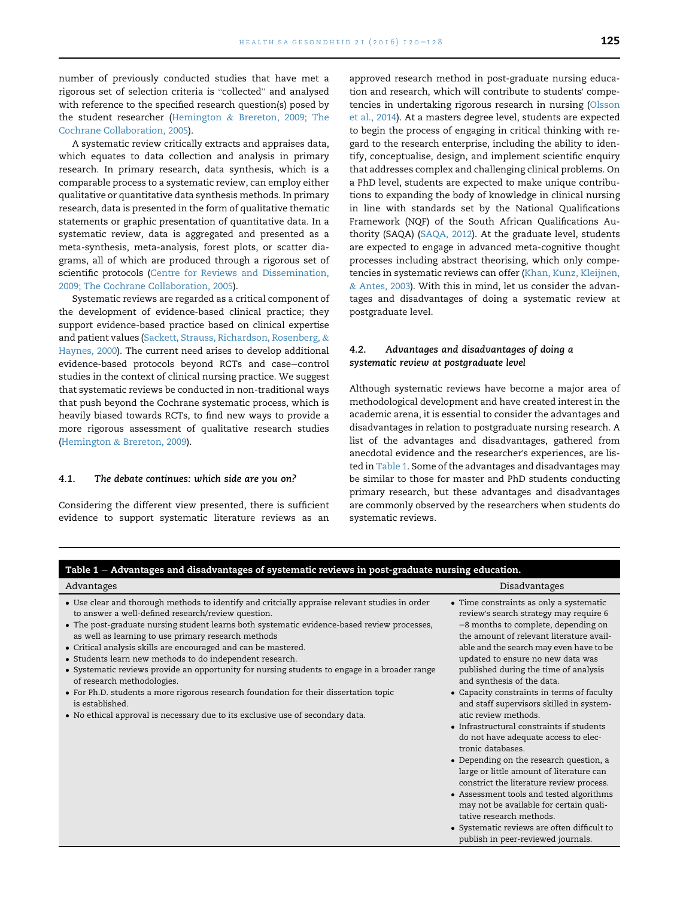<span id="page-5-0"></span>number of previously conducted studies that have met a rigorous set of selection criteria is "collected" and analysed with reference to the specified research question(s) posed by the student researcher [\(Hemington](#page-7-0) & [Brereton, 2009; The](#page-7-0) [Cochrane Collaboration, 2005](#page-7-0)).

A systematic review critically extracts and appraises data, which equates to data collection and analysis in primary research. In primary research, data synthesis, which is a comparable process to a systematic review, can employ either qualitative or quantitative data synthesis methods. In primary research, data is presented in the form of qualitative thematic statements or graphic presentation of quantitative data. In a systematic review, data is aggregated and presented as a meta-synthesis, meta-analysis, forest plots, or scatter diagrams, all of which are produced through a rigorous set of scientific protocols [\(Centre for Reviews and Dissemination,](#page-7-0) [2009; The Cochrane Collaboration, 2005\)](#page-7-0).

Systematic reviews are regarded as a critical component of the development of evidence-based clinical practice; they support evidence-based practice based on clinical expertise and patient values [\(Sackett, Strauss, Richardson, Rosenberg,](#page-8-0) & [Haynes, 2000](#page-8-0)). The current need arises to develop additional evidence-based protocols beyond RCTs and case-control studies in the context of clinical nursing practice. We suggest that systematic reviews be conducted in non-traditional ways that push beyond the Cochrane systematic process, which is heavily biased towards RCTs, to find new ways to provide a more rigorous assessment of qualitative research studies [\(Hemington](#page-7-0) & [Brereton, 2009\)](#page-7-0).

#### 4.1. The debate continues: which side are you on?

Considering the different view presented, there is sufficient evidence to support systematic literature reviews as an approved research method in post-graduate nursing education and research, which will contribute to students' competencies in undertaking rigorous research in nursing ([Olsson](#page-8-0) [et al., 2014\)](#page-8-0). At a masters degree level, students are expected to begin the process of engaging in critical thinking with regard to the research enterprise, including the ability to identify, conceptualise, design, and implement scientific enquiry that addresses complex and challenging clinical problems. On a PhD level, students are expected to make unique contributions to expanding the body of knowledge in clinical nursing in line with standards set by the National Qualifications Framework (NQF) of the South African Qualifications Authority (SAQA) ([SAQA, 2012](#page-8-0)). At the graduate level, students are expected to engage in advanced meta-cognitive thought processes including abstract theorising, which only competencies in systematic reviews can offer ([Khan, Kunz, Kleijnen,](#page-7-0)  $&$  [Antes, 2003\)](#page-7-0). With this in mind, let us consider the advantages and disadvantages of doing a systematic review at postgraduate level.

# 4.2. Advantages and disadvantages of doing a systematic review at postgraduate level

Although systematic reviews have become a major area of methodological development and have created interest in the academic arena, it is essential to consider the advantages and disadvantages in relation to postgraduate nursing research. A list of the advantages and disadvantages, gathered from anecdotal evidence and the researcher's experiences, are listed in Table 1. Some of the advantages and disadvantages may be similar to those for master and PhD students conducting primary research, but these advantages and disadvantages are commonly observed by the researchers when students do systematic reviews.

| Table $1 -$ Advantages and disadvantages of systematic reviews in post-graduate nursing education.                                                                                                                                                                                                                                                                                                                                                                                                                                                                                                                                                                                                                                                                    |                                                                                                                                                                                                                                                                                                                                                                                                                                                                                                                                                                                                                                                                                                                                                                                                                                                                                                   |  |  |  |
|-----------------------------------------------------------------------------------------------------------------------------------------------------------------------------------------------------------------------------------------------------------------------------------------------------------------------------------------------------------------------------------------------------------------------------------------------------------------------------------------------------------------------------------------------------------------------------------------------------------------------------------------------------------------------------------------------------------------------------------------------------------------------|---------------------------------------------------------------------------------------------------------------------------------------------------------------------------------------------------------------------------------------------------------------------------------------------------------------------------------------------------------------------------------------------------------------------------------------------------------------------------------------------------------------------------------------------------------------------------------------------------------------------------------------------------------------------------------------------------------------------------------------------------------------------------------------------------------------------------------------------------------------------------------------------------|--|--|--|
| Advantages                                                                                                                                                                                                                                                                                                                                                                                                                                                                                                                                                                                                                                                                                                                                                            | Disadvantages                                                                                                                                                                                                                                                                                                                                                                                                                                                                                                                                                                                                                                                                                                                                                                                                                                                                                     |  |  |  |
| • Use clear and thorough methods to identify and critcially appraise relevant studies in order<br>to answer a well-defined research/review question.<br>• The post-graduate nursing student learns both systematic evidence-based review processes,<br>as well as learning to use primary research methods<br>• Critical analysis skills are encouraged and can be mastered.<br>• Students learn new methods to do independent research.<br>• Systematic reviews provide an opportunity for nursing students to engage in a broader range<br>of research methodologies.<br>• For Ph.D. students a more rigorous research foundation for their dissertation topic<br>is established.<br>• No ethical approval is necessary due to its exclusive use of secondary data. | • Time constraints as only a systematic<br>review's search strategy may require 6<br>-8 months to complete, depending on<br>the amount of relevant literature avail-<br>able and the search may even have to be<br>updated to ensure no new data was<br>published during the time of analysis<br>and synthesis of the data.<br>• Capacity constraints in terms of faculty<br>and staff supervisors skilled in system-<br>atic review methods<br>• Infrastructural constraints if students<br>do not have adequate access to elec-<br>tronic databases.<br>• Depending on the research question, a<br>large or little amount of literature can<br>constrict the literature review process.<br>• Assessment tools and tested algorithms<br>may not be available for certain quali-<br>tative research methods.<br>• Systematic reviews are often difficult to<br>publish in peer-reviewed journals. |  |  |  |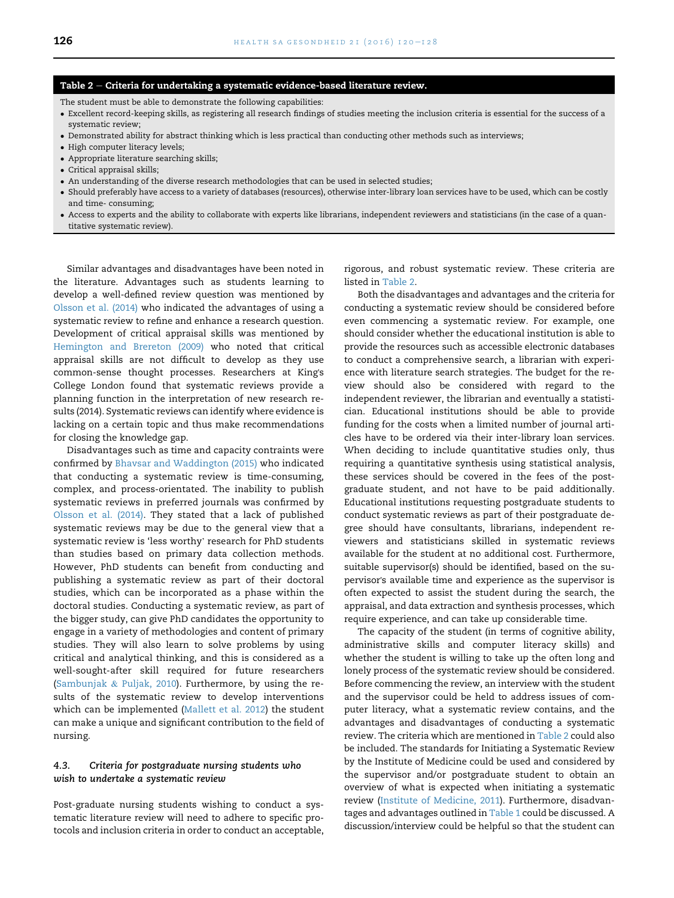#### Table 2 - Criteria for undertaking a systematic evidence-based literature review.

The student must be able to demonstrate the following capabilities:

- Excellent record-keeping skills, as registering all research findings of studies meeting the inclusion criteria is essential for the success of a systematic review;
- Demonstrated ability for abstract thinking which is less practical than conducting other methods such as interviews;
- High computer literacy levels;
- $\bullet\,$  Appropriate literature searching skills;
- Critical appraisal skills;
- An understanding of the diverse research methodologies that can be used in selected studies;
- Should preferably have access to a variety of databases (resources), otherwise inter-library loan services have to be used, which can be costly and time- consuming;
- Access to experts and the ability to collaborate with experts like librarians, independent reviewers and statisticians (in the case of a quantitative systematic review).

Similar advantages and disadvantages have been noted in the literature. Advantages such as students learning to develop a well-defined review question was mentioned by [Olsson et al. \(2014\)](#page-8-0) who indicated the advantages of using a systematic review to refine and enhance a research question. Development of critical appraisal skills was mentioned by [Hemington and Brereton \(2009\)](#page-7-0) who noted that critical appraisal skills are not difficult to develop as they use common-sense thought processes. Researchers at King's College London found that systematic reviews provide a planning function in the interpretation of new research results (2014). Systematic reviews can identify where evidence is lacking on a certain topic and thus make recommendations for closing the knowledge gap.

Disadvantages such as time and capacity contraints were confirmed by [Bhavsar and Waddington \(2015\)](#page-7-0) who indicated that conducting a systematic review is time-consuming, complex, and process-orientated. The inability to publish systematic reviews in preferred journals was confirmed by [Olsson et al. \(2014\).](#page-8-0) They stated that a lack of published systematic reviews may be due to the general view that a systematic review is 'less worthy' research for PhD students than studies based on primary data collection methods. However, PhD students can benefit from conducting and publishing a systematic review as part of their doctoral studies, which can be incorporated as a phase within the doctoral studies. Conducting a systematic review, as part of the bigger study, can give PhD candidates the opportunity to engage in a variety of methodologies and content of primary studies. They will also learn to solve problems by using critical and analytical thinking, and this is considered as a well-sought-after skill required for future researchers ([Sambunjak](#page-8-0) & [Puljak, 2010\)](#page-8-0). Furthermore, by using the results of the systematic review to develop interventions which can be implemented ([Mallett et al. 2012\)](#page-8-0) the student can make a unique and significant contribution to the field of nursing.

# 4.3. Criteria for postgraduate nursing students who wish to undertake a systematic review

Post-graduate nursing students wishing to conduct a systematic literature review will need to adhere to specific protocols and inclusion criteria in order to conduct an acceptable,

rigorous, and robust systematic review. These criteria are listed in Table 2.

Both the disadvantages and advantages and the criteria for conducting a systematic review should be considered before even commencing a systematic review. For example, one should consider whether the educational institution is able to provide the resources such as accessible electronic databases to conduct a comprehensive search, a librarian with experience with literature search strategies. The budget for the review should also be considered with regard to the independent reviewer, the librarian and eventually a statistician. Educational institutions should be able to provide funding for the costs when a limited number of journal articles have to be ordered via their inter-library loan services. When deciding to include quantitative studies only, thus requiring a quantitative synthesis using statistical analysis, these services should be covered in the fees of the postgraduate student, and not have to be paid additionally. Educational institutions requesting postgraduate students to conduct systematic reviews as part of their postgraduate degree should have consultants, librarians, independent reviewers and statisticians skilled in systematic reviews available for the student at no additional cost. Furthermore, suitable supervisor(s) should be identified, based on the supervisor's available time and experience as the supervisor is often expected to assist the student during the search, the appraisal, and data extraction and synthesis processes, which require experience, and can take up considerable time.

The capacity of the student (in terms of cognitive ability, administrative skills and computer literacy skills) and whether the student is willing to take up the often long and lonely process of the systematic review should be considered. Before commencing the review, an interview with the student and the supervisor could be held to address issues of computer literacy, what a systematic review contains, and the advantages and disadvantages of conducting a systematic review. The criteria which are mentioned in Table 2 could also be included. The standards for Initiating a Systematic Review by the Institute of Medicine could be used and considered by the supervisor and/or postgraduate student to obtain an overview of what is expected when initiating a systematic review [\(Institute of Medicine, 2011\)](#page-7-0). Furthermore, disadvantages and advantages outlined in [Table 1](#page-5-0) could be discussed. A discussion/interview could be helpful so that the student can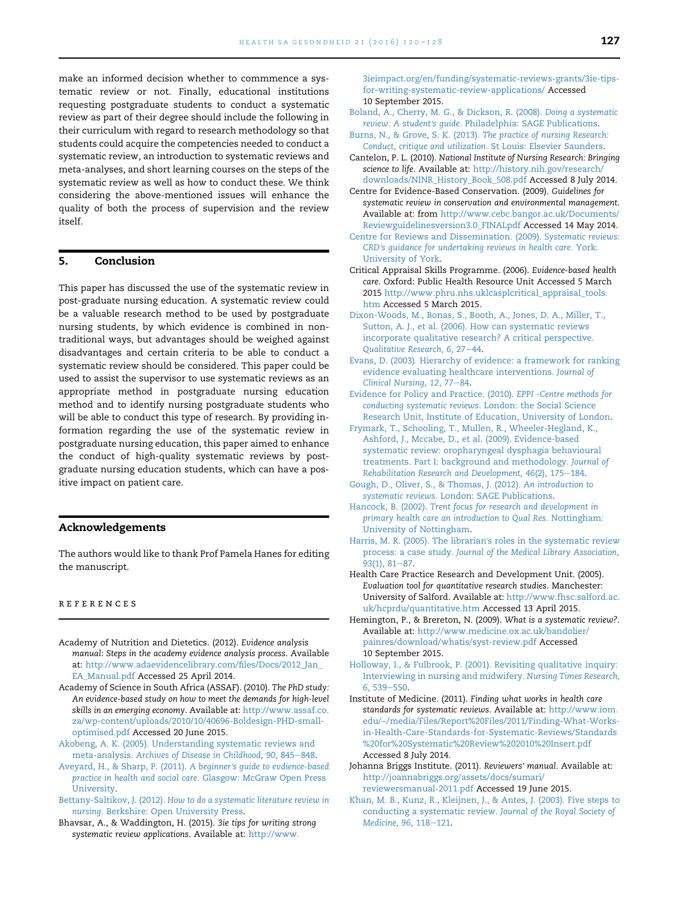<span id="page-7-0"></span>make an informed decision whether to commmence a systematic review or not. Finally, educational institutions requesting postgraduate students to conduct a systematic review as part of their degree should include the following in their curriculum with regard to research methodology so that students could acquire the competencies needed to conduct a systematic review, an introduction to systematic reviews and meta-analyses, and short learning courses on the steps of the systematic review as well as how to conduct these. We think considering the above-mentioned issues will enhance the quality of both the process of supervision and the review itself.

# 5. Conclusion

This paper has discussed the use of the systematic review in post-graduate nursing education. A systematic review could be a valuable research method to be used by postgraduate nursing students, by which evidence is combined in nontraditional ways, but advantages should be weighed against disadvantages and certain criteria to be able to conduct a systematic review should be considered. This paper could be used to assist the supervisor to use systematic reviews as an appropriate method in postgraduate nursing education method and to identify nursing postgraduate students who will be able to conduct this type of research. By providing information regarding the use of the systematic review in postgraduate nursing education, this paper aimed to enhance the conduct of high-quality systematic reviews by postgraduate nursing education students, which can have a positive impact on patient care.

# Acknowledgements

The authors would like to thank Prof Pamela Hanes for editing the manuscript.

#### references

- Academy of Nutrition and Dietetics. (2012). Evidence analysis manual: Steps in the academy evidence analysis process. Available at: [http://www.adaevidencelibrary.com/files/Docs/2012\\_Jan\\_](http://www.adaevidencelibrary.com/files/Docs/2012_Jan_EA_Manual.pdf) [EA\\_Manual.pdf](http://www.adaevidencelibrary.com/files/Docs/2012_Jan_EA_Manual.pdf) Accessed 25 April 2014.
- Academy of Science in South Africa (ASSAF). (2010). The PhD study: An evidence-based study on how to meet the demands for high-level skills in an emerging economy. Available at: [http://www.assaf.co.](http://www.assaf.co.za/wp-content/uploads/2010/10/40696-Boldesign-PHD-small-optimised.pdf) [za/wp-content/uploads/2010/10/40696-Boldesign-PHD-small](http://www.assaf.co.za/wp-content/uploads/2010/10/40696-Boldesign-PHD-small-optimised.pdf)[optimised.pdf](http://www.assaf.co.za/wp-content/uploads/2010/10/40696-Boldesign-PHD-small-optimised.pdf) Accessed 20 June 2015.
- [Akobeng, A. K. \(2005\). Understanding systematic reviews and](http://refhub.elsevier.com/S1025-9848(15)00022-8/sref3) meta-analysis. [Archives of Disease in Childhood, 90](http://refhub.elsevier.com/S1025-9848(15)00022-8/sref3), 845-[848](http://refhub.elsevier.com/S1025-9848(15)00022-8/sref3).
- [Aveyard, H., & Sharp, P. \(2011\).](http://refhub.elsevier.com/S1025-9848(15)00022-8/sref4) A beginner's guide to evdience-based practice in health and social care[. Glasgow: McGraw Open Press](http://refhub.elsevier.com/S1025-9848(15)00022-8/sref4) [University.](http://refhub.elsevier.com/S1025-9848(15)00022-8/sref4)
- Bettany-Saltikov, J. (2012). [How to do a systematic literature review in](http://refhub.elsevier.com/S1025-9848(15)00022-8/sref5) nursing[. Berkshire: Open University Press.](http://refhub.elsevier.com/S1025-9848(15)00022-8/sref5)
- Bhavsar, A., & Waddington, H. (2015). 3ie tips for writing strong systematic review applications. Available at: [http://www.](http://www.3ieimpact.org/en/funding/systematic-reviews-grants/3ie-tips-for-writing-systematic-review-applications/)

[3ieimpact.org/en/funding/systematic-reviews-grants/3ie-tips](http://www.3ieimpact.org/en/funding/systematic-reviews-grants/3ie-tips-for-writing-systematic-review-applications/)[for-writing-systematic-review-applications/](http://www.3ieimpact.org/en/funding/systematic-reviews-grants/3ie-tips-for-writing-systematic-review-applications/) Accessed 10 September 2015.

- [Boland, A., Cherry, M. G., & Dickson, R. \(2008\).](http://refhub.elsevier.com/S1025-9848(15)00022-8/sref7) Doing a systematic review: A student's guide[. Philadelphia: SAGE Publications](http://refhub.elsevier.com/S1025-9848(15)00022-8/sref7).
- [Burns, N., & Grove, S. K. \(2013\).](http://refhub.elsevier.com/S1025-9848(15)00022-8/sref8) The practice of nursing Research: [Conduct, critique and utilization](http://refhub.elsevier.com/S1025-9848(15)00022-8/sref8). St Louis: Elsevier Saunders.
- Cantelon, P. L. (2010). National Institute of Nursing Research: Bringing science to life. Available at: [http://history.nih.gov/research/](http://history.nih.gov/research/downloads/NINR_History_Book_508.pdf) [downloads/NINR\\_History\\_Book\\_508.pdf](http://history.nih.gov/research/downloads/NINR_History_Book_508.pdf) Accessed 8 July 2014.
- Centre for Evidence-Based Conservation. (2009). Guidelines for systematic review in conservation and environmental management. Available at: from [http://www.cebc.bangor.ac.uk/Documents/](http://www.cebc.bangor.ac.uk/Documents/Reviewguidelinesversion3.0_FINALpdf) [Reviewguidelinesversion3.0\\_FINALpdf](http://www.cebc.bangor.ac.uk/Documents/Reviewguidelinesversion3.0_FINALpdf) Accessed 14 May 2014.
- [Centre for Reviews and Dissemination. \(2009\).](http://refhub.elsevier.com/S1025-9848(15)00022-8/sref11) Systematic reviews: CRD'[s guidance for undertaking reviews in health care](http://refhub.elsevier.com/S1025-9848(15)00022-8/sref11). York: [University of York](http://refhub.elsevier.com/S1025-9848(15)00022-8/sref11).
- Critical Appraisal Skills Programme. (2006). Evidence-based health care. Oxford: Public Health Resource Unit Accessed 5 March 2015 [http://www.phru.nhs.uklcasplcritical\\_appraisal\\_tools.](http://www.phru.nhs.uklcasplcritical_appraisal_tools.htm) [htm](http://www.phru.nhs.uklcasplcritical_appraisal_tools.htm) Accessed 5 March 2015.
- [Dixon-Woods, M., Bonas, S., Booth, A., Jones, D. A., Miller, T.,](http://refhub.elsevier.com/S1025-9848(15)00022-8/sref13) [Sutton, A. J., et al. \(2006\). How can systematic reviews](http://refhub.elsevier.com/S1025-9848(15)00022-8/sref13) [incorporate qualitative research? A critical perspective.](http://refhub.elsevier.com/S1025-9848(15)00022-8/sref13) [Qualitative Research, 6](http://refhub.elsevier.com/S1025-9848(15)00022-8/sref13), 27-[44.](http://refhub.elsevier.com/S1025-9848(15)00022-8/sref13)
- [Evans, D. \(2003\). Hierarchy of evidence: a framework for ranking](http://refhub.elsevier.com/S1025-9848(15)00022-8/sref14) [evidence evaluating healthcare interventions.](http://refhub.elsevier.com/S1025-9848(15)00022-8/sref14) Journal of [Clinical Nursing, 12](http://refhub.elsevier.com/S1025-9848(15)00022-8/sref14), 77-[84.](http://refhub.elsevier.com/S1025-9848(15)00022-8/sref14)
- [Evidence for Policy and Practice. \(2010\).](http://refhub.elsevier.com/S1025-9848(15)00022-8/sref15) EPPI -Centre methods for conducting systematic reviews[. London: the Social Science](http://refhub.elsevier.com/S1025-9848(15)00022-8/sref15) [Research Unit, Institute of Education, University of London](http://refhub.elsevier.com/S1025-9848(15)00022-8/sref15).
- [Frymark, T., Schooling, T., Mullen, R., Wheeler-Hegland, K.,](http://refhub.elsevier.com/S1025-9848(15)00022-8/sref16) [Ashford, J., Mccabe, D., et al. \(2009\). Evidence-based](http://refhub.elsevier.com/S1025-9848(15)00022-8/sref16) [systematic review: oropharyngeal dysphagia behavioural](http://refhub.elsevier.com/S1025-9848(15)00022-8/sref16) [treatments. Part I: background and methodology.](http://refhub.elsevier.com/S1025-9848(15)00022-8/sref16) Journal of [Rehabilitation Research and Development, 46](http://refhub.elsevier.com/S1025-9848(15)00022-8/sref16)(2), 175-[184.](http://refhub.elsevier.com/S1025-9848(15)00022-8/sref16)
- [Gough, D., Oliver, S., & Thomas, J. \(2012\).](http://refhub.elsevier.com/S1025-9848(15)00022-8/sref17) An introduction to systematic reviews[. London: SAGE Publications.](http://refhub.elsevier.com/S1025-9848(15)00022-8/sref17)
- Hancock, B. (2002). [Trent focus for research and development in](http://refhub.elsevier.com/S1025-9848(15)00022-8/sref18) [primary health care an introduction to Qual Res](http://refhub.elsevier.com/S1025-9848(15)00022-8/sref18). Nottingham: [University of Nottingham](http://refhub.elsevier.com/S1025-9848(15)00022-8/sref18).
- [Harris, M. R. \(2005\). The librarian](http://refhub.elsevier.com/S1025-9848(15)00022-8/sref19)'s roles in the systematic review process: a case study. [Journal of the Medical Library Association,](http://refhub.elsevier.com/S1025-9848(15)00022-8/sref19)  $93(1), 81-87.$  $93(1), 81-87.$  $93(1), 81-87.$  $93(1), 81-87.$
- Health Care Practice Research and Development Unit. (2005). Evaluation tool for quantitative research studies. Manchester: University of Salford. Available at: [http://www.fhsc.salford.ac.](http://www.fhsc.salford.ac.uk/hcprdu/quantitative.htm) [uk/hcprdu/quantitative.htm](http://www.fhsc.salford.ac.uk/hcprdu/quantitative.htm) Accessed 13 April 2015.
- Hemington, P., & Brereton, N. (2009). What is a systematic review?. Available at: [http://www.medicine.ox.ac.uk/bandolier/](http://www.medicine.ox.ac.uk/bandolier/painres/download/whatis/syst-review.pdf) [painres/download/whatis/syst-review.pdf](http://www.medicine.ox.ac.uk/bandolier/painres/download/whatis/syst-review.pdf) Accessed 10 September 2015.
- [Holloway, I., & Fulbrook, P. \(2001\). Revisiting qualitative inquiry:](http://refhub.elsevier.com/S1025-9848(15)00022-8/sref22) [Interviewing in nursing and midwifery.](http://refhub.elsevier.com/S1025-9848(15)00022-8/sref22) Nursing Times Research,  $6.539 - 550.$  $6.539 - 550.$  $6.539 - 550.$
- Institute of Medicine. (2011). Finding what works in health care standards for systematic reviews. Available at: [http://www.iom.](http://www.iom.edu/%7E/media/Files/Report%20Files/2011/Finding-What-Works-in-Health-Care-Standards-for-Systematic-Reviews/Standards%20for%20Systematic%20Review%202010%20Insert.pdf) [edu/~/media/Files/Report%20Files/2011/Finding-What-Works](http://www.iom.edu/%7E/media/Files/Report%20Files/2011/Finding-What-Works-in-Health-Care-Standards-for-Systematic-Reviews/Standards%20for%20Systematic%20Review%202010%20Insert.pdf)[in-Health-Care-Standards-for-Systematic-Reviews/Standards](http://www.iom.edu/%7E/media/Files/Report%20Files/2011/Finding-What-Works-in-Health-Care-Standards-for-Systematic-Reviews/Standards%20for%20Systematic%20Review%202010%20Insert.pdf) [%20for%20Systematic%20Review%202010%20Insert.pdf](http://www.iom.edu/%7E/media/Files/Report%20Files/2011/Finding-What-Works-in-Health-Care-Standards-for-Systematic-Reviews/Standards%20for%20Systematic%20Review%202010%20Insert.pdf) Accessed 8 July 2014.
- Johanna Briggs Institute. (2011). Reviewers' manual. Available at: [http://joannabriggs.org/assets/docs/sumari/](http://joannabriggs.org/assets/docs/sumari/reviewersmanual-2011.pdf) [reviewersmanual-2011.pdf](http://joannabriggs.org/assets/docs/sumari/reviewersmanual-2011.pdf) Accessed 19 June 2015.
- [Khan, M. B., Kunz, R., Kleijnen, J., & Antes, J. \(2003\). Five steps to](http://refhub.elsevier.com/S1025-9848(15)00022-8/sref25) [conducting a systematic review.](http://refhub.elsevier.com/S1025-9848(15)00022-8/sref25) Journal of the Royal Society of [Medicine, 96](http://refhub.elsevier.com/S1025-9848(15)00022-8/sref25), 118-[121](http://refhub.elsevier.com/S1025-9848(15)00022-8/sref25).